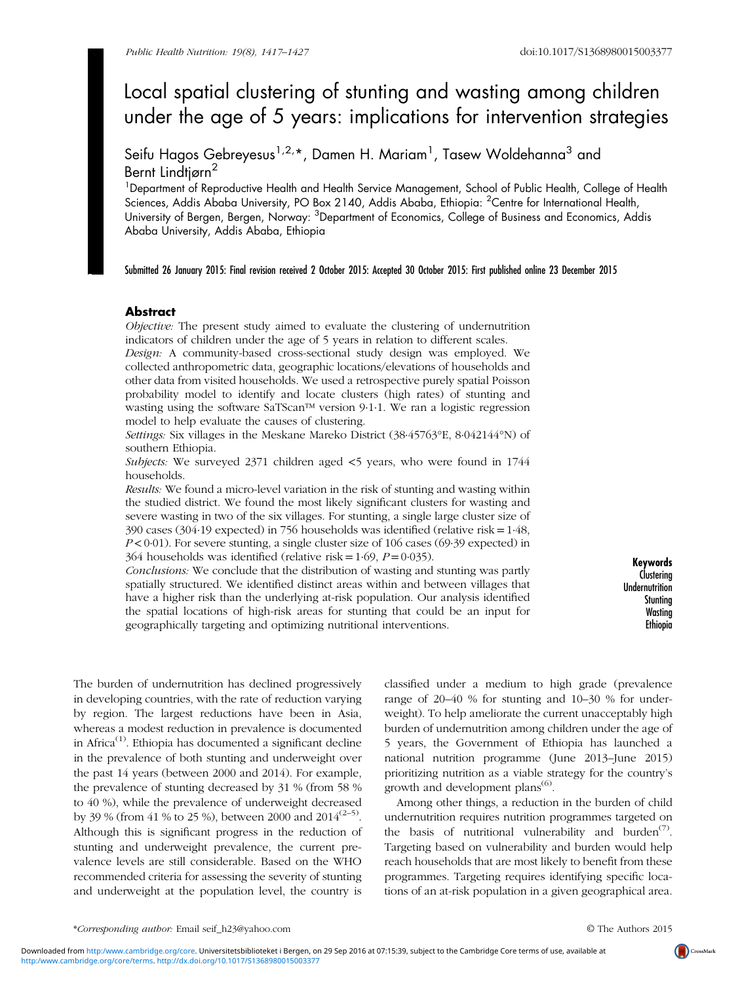# Local spatial clustering of stunting and wasting among children under the age of 5 years: implications for intervention strategies

Seifu Hagos Gebreyesus<sup>1,2,</sup>\*, Damen H. Mariam<sup>1</sup>, Tasew Woldehanna<sup>3</sup> and Bernt Lindtjørn<sup>2</sup>

<sup>1</sup>Department of Reproductive Health and Health Service Management, School of Public Health, College of Health Sciences, Addis Ababa University, PO Box 2140, Addis Ababa, Ethiopia: <sup>2</sup>Centre for International Health, University of Bergen, Bergen, Norway: <sup>3</sup>Department of Economics, College of Business and Economics, Addis Ababa University, Addis Ababa, Ethiopia

Submitted 26 January 2015: Final revision received 2 October 2015: Accepted 30 October 2015: First published online 23 December 2015

# **Abstract**

Objective: The present study aimed to evaluate the clustering of undernutrition indicators of children under the age of 5 years in relation to different scales.

Design: A community-based cross-sectional study design was employed. We collected anthropometric data, geographic locations/elevations of households and other data from visited households. We used a retrospective purely spatial Poisson probability model to identify and locate clusters (high rates) of stunting and wasting using the software SaTScan™ version 9·1·1. We ran a logistic regression model to help evaluate the causes of clustering.

Settings: Six villages in the Meskane Mareko District (38·45763°E, 8·042144°N) of southern Ethiopia.

Subjects: We surveyed 2371 children aged <5 years, who were found in 1744 households.

Results: We found a micro-level variation in the risk of stunting and wasting within the studied district. We found the most likely significant clusters for wasting and severe wasting in two of the six villages. For stunting, a single large cluster size of 390 cases (304·19 expected) in 756 households was identified (relative risk=1·48,  $P < 0.01$ ). For severe stunting, a single cluster size of 106 cases (69.39 expected) in 364 households was identified (relative risk =  $1.69$ ,  $P = 0.035$ ).

Conclusions: We conclude that the distribution of wasting and stunting was partly spatially structured. We identified distinct areas within and between villages that have a higher risk than the underlying at-risk population. Our analysis identified the spatial locations of high-risk areas for stunting that could be an input for geographically targeting and optimizing nutritional interventions.

Keywords **Clustering Undernutrition Stunting Wasting** Ethiopia

The burden of undernutrition has declined progressively in developing countries, with the rate of reduction varying by region. The largest reductions have been in Asia, whereas a modest reduction in prevalence is documented in Africa([1](#page-9-0)). Ethiopia has documented a significant decline in the prevalence of both stunting and underweight over the past 14 years (between 2000 and 2014). For example, the prevalence of stunting decreased by 31 % (from 58 % to 40 %), while the prevalence of underweight decreased by 39 % (from 41 % to 2[5](#page-9-0) %), between 2000 and  $2014^{(2-5)}$  $2014^{(2-5)}$  $2014^{(2-5)}$ . Although this is significant progress in the reduction of stunting and underweight prevalence, the current prevalence levels are still considerable. Based on the WHO recommended criteria for assessing the severity of stunting and underweight at the population level, the country is classified under a medium to high grade (prevalence range of 20–40 % for stunting and 10–30 % for underweight). To help ameliorate the current unacceptably high burden of undernutrition among children under the age of 5 years, the Government of Ethiopia has launched a national nutrition programme (June 2013–June 2015) prioritizing nutrition as a viable strategy for the country's growth and development plans<sup>([6](#page-9-0))</sup>.

Among other things, a reduction in the burden of child undernutrition requires nutrition programmes targeted on the basis of nutritional vulnerability and burden<sup> $(7)$ </sup>. Targeting based on vulnerability and burden would help reach households that are most likely to benefit from these programmes. Targeting requires identifying specific locations of an at-risk population in a given geographical area.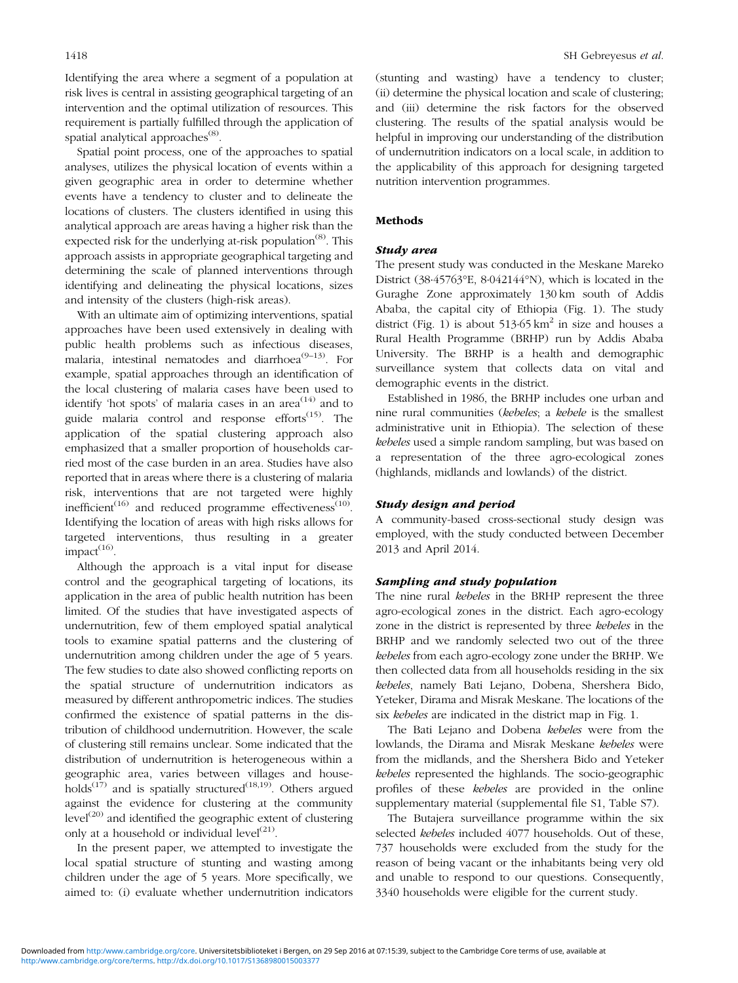Identifying the area where a segment of a population at risk lives is central in assisting geographical targeting of an intervention and the optimal utilization of resources. This requirement is partially fulfilled through the application of spatial analytical approaches<sup>([8](#page-9-0))</sup>.

Spatial point process, one of the approaches to spatial analyses, utilizes the physical location of events within a given geographic area in order to determine whether events have a tendency to cluster and to delineate the locations of clusters. The clusters identified in using this analytical approach are areas having a higher risk than the expected risk for the underlying at-risk population<sup> $(8)$  $(8)$ </sup>. This approach assists in appropriate geographical targeting and determining the scale of planned interventions through identifying and delineating the physical locations, sizes and intensity of the clusters (high-risk areas).

With an ultimate aim of optimizing interventions, spatial approaches have been used extensively in dealing with public health problems such as infectious diseases, malaria, intestinal nematodes and diarrhoea<sup> $(9-13)$  $(9-13)$  $(9-13)$  $(9-13)$  $(9-13)$ </sup>. For example, spatial approaches through an identification of the local clustering of malaria cases have been used to identify 'hot spots' of malaria cases in an  $area^{(14)}$  $area^{(14)}$  $area^{(14)}$  and to guide malaria control and response efforts<sup>([15\)](#page-9-0)</sup>. The application of the spatial clustering approach also emphasized that a smaller proportion of households carried most of the case burden in an area. Studies have also reported that in areas where there is a clustering of malaria risk, interventions that are not targeted were highly inefficient<sup> $(16)$ </sup> and reduced programme effectiveness<sup> $(10)$  $(10)$  $(10)$ </sup>. Identifying the location of areas with high risks allows for targeted interventions, thus resulting in a greater impact $(16)$  $(16)$ .

Although the approach is a vital input for disease control and the geographical targeting of locations, its application in the area of public health nutrition has been limited. Of the studies that have investigated aspects of undernutrition, few of them employed spatial analytical tools to examine spatial patterns and the clustering of undernutrition among children under the age of 5 years. The few studies to date also showed conflicting reports on the spatial structure of undernutrition indicators as measured by different anthropometric indices. The studies confirmed the existence of spatial patterns in the distribution of childhood undernutrition. However, the scale of clustering still remains unclear. Some indicated that the distribution of undernutrition is heterogeneous within a geographic area, varies between villages and house-holds<sup>([17\)](#page-9-0)</sup> and is spatially structured<sup>([18,19\)](#page-9-0)</sup>. Others argued against the evidence for clustering at the community  $level<sup>(20)</sup>$  $level<sup>(20)</sup>$  $level<sup>(20)</sup>$  and identified the geographic extent of clustering only at a household or individual level<sup>[\(21](#page-10-0))</sup>.

In the present paper, we attempted to investigate the local spatial structure of stunting and wasting among children under the age of 5 years. More specifically, we aimed to: (i) evaluate whether undernutrition indicators (stunting and wasting) have a tendency to cluster; (ii) determine the physical location and scale of clustering; and (iii) determine the risk factors for the observed clustering. The results of the spatial analysis would be helpful in improving our understanding of the distribution of undernutrition indicators on a local scale, in addition to the applicability of this approach for designing targeted nutrition intervention programmes.

# **Methods**

## Study area

The present study was conducted in the Meskane Mareko District (38·45763°E, 8·042144°N), which is located in the Guraghe Zone approximately 130 km south of Addis Ababa, the capital city of Ethiopia ([Fig. 1\)](#page-2-0). The study district ([Fig. 1](#page-2-0)) is about 513.65  $km^2$  in size and houses a Rural Health Programme (BRHP) run by Addis Ababa University. The BRHP is a health and demographic surveillance system that collects data on vital and demographic events in the district.

Established in 1986, the BRHP includes one urban and nine rural communities (kebeles; a kebele is the smallest administrative unit in Ethiopia). The selection of these kebeles used a simple random sampling, but was based on a representation of the three agro-ecological zones (highlands, midlands and lowlands) of the district.

## Study design and period

A community-based cross-sectional study design was employed, with the study conducted between December 2013 and April 2014.

# Sampling and study population

The nine rural kebeles in the BRHP represent the three agro-ecological zones in the district. Each agro-ecology zone in the district is represented by three kebeles in the BRHP and we randomly selected two out of the three kebeles from each agro-ecology zone under the BRHP. We then collected data from all households residing in the six kebeles, namely Bati Lejano, Dobena, Shershera Bido, Yeteker, Dirama and Misrak Meskane. The locations of the six kebeles are indicated in the district map in [Fig. 1](#page-2-0).

The Bati Lejano and Dobena kebeles were from the lowlands, the Dirama and Misrak Meskane kebeles were from the midlands, and the Shershera Bido and Yeteker kebeles represented the highlands. The socio-geographic profiles of these kebeles are provided in the online supplementary material (supplemental file S1, Table S7).

The Butajera surveillance programme within the six selected kebeles included 4077 households. Out of these, 737 households were excluded from the study for the reason of being vacant or the inhabitants being very old and unable to respond to our questions. Consequently, 3340 households were eligible for the current study.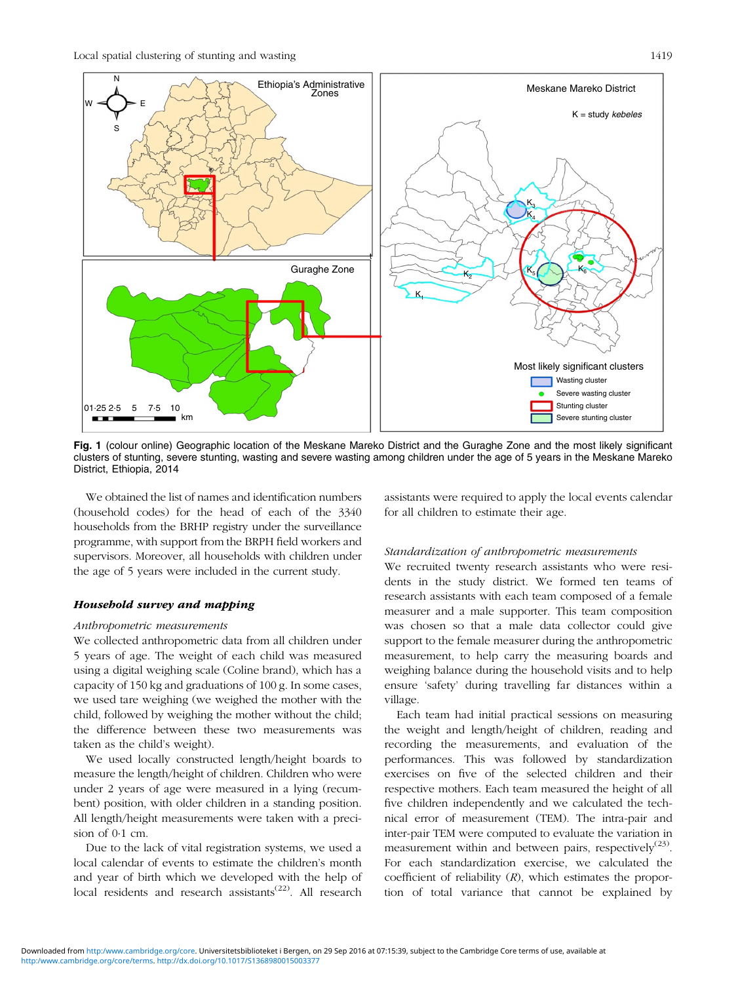<span id="page-2-0"></span>

Fig. 1 (colour online) Geographic location of the Meskane Mareko District and the Guraghe Zone and the most likely significant clusters of stunting, severe stunting, wasting and severe wasting among children under the age of 5 years in the Meskane Mareko District, Ethiopia, 2014

We obtained the list of names and identification numbers (household codes) for the head of each of the 3340 households from the BRHP registry under the surveillance programme, with support from the BRPH field workers and supervisors. Moreover, all households with children under the age of 5 years were included in the current study.

## Household survey and mapping

## Anthropometric measurements

We collected anthropometric data from all children under 5 years of age. The weight of each child was measured using a digital weighing scale (Coline brand), which has a capacity of 150 kg and graduations of 100 g. In some cases, we used tare weighing (we weighed the mother with the child, followed by weighing the mother without the child; the difference between these two measurements was taken as the child's weight).

We used locally constructed length/height boards to measure the length/height of children. Children who were under 2 years of age were measured in a lying (recumbent) position, with older children in a standing position. All length/height measurements were taken with a precision of 0·1 cm.

Due to the lack of vital registration systems, we used a local calendar of events to estimate the children's month and year of birth which we developed with the help of local residents and research assistants<sup>[\(22](#page-10-0))</sup>. All research assistants were required to apply the local events calendar for all children to estimate their age.

# Standardization of anthropometric measurements

We recruited twenty research assistants who were residents in the study district. We formed ten teams of research assistants with each team composed of a female measurer and a male supporter. This team composition was chosen so that a male data collector could give support to the female measurer during the anthropometric measurement, to help carry the measuring boards and weighing balance during the household visits and to help ensure 'safety' during travelling far distances within a village.

Each team had initial practical sessions on measuring the weight and length/height of children, reading and recording the measurements, and evaluation of the performances. This was followed by standardization exercises on five of the selected children and their respective mothers. Each team measured the height of all five children independently and we calculated the technical error of measurement (TEM). The intra-pair and inter-pair TEM were computed to evaluate the variation in measurement within and between pairs, respectively<sup>([23\)](#page-10-0)</sup>. For each standardization exercise, we calculated the coefficient of reliability  $(R)$ , which estimates the proportion of total variance that cannot be explained by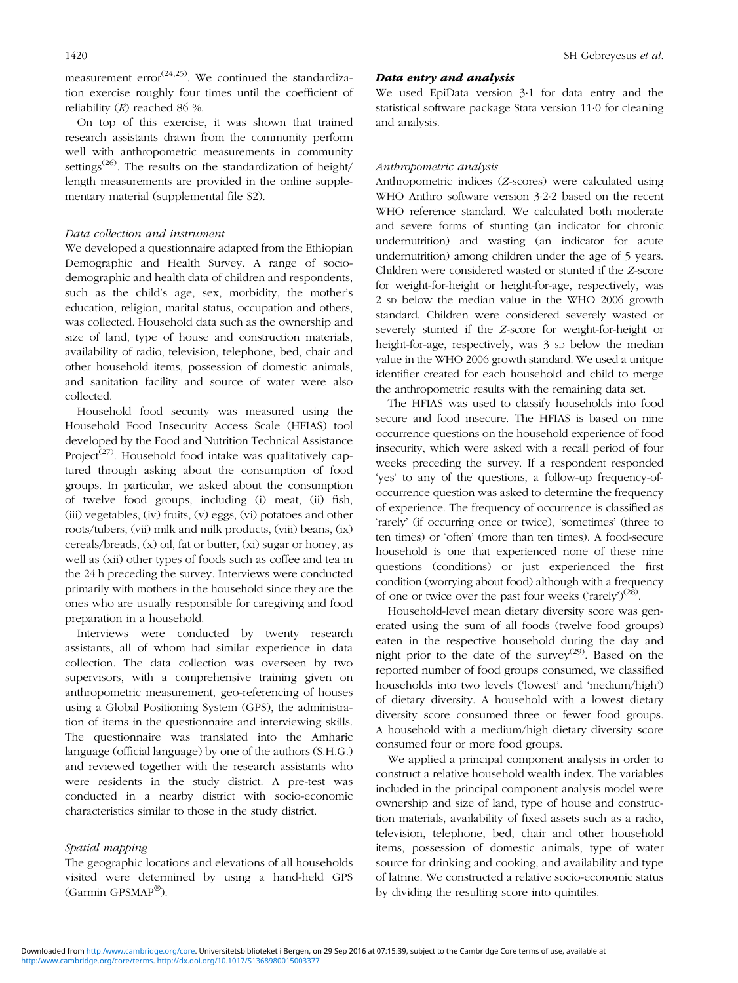measurement error<sup> $(24,25)$  $(24,25)$ </sup>. We continued the standardization exercise roughly four times until the coefficient of reliability  $(R)$  reached 86 %.

On top of this exercise, it was shown that trained research assistants drawn from the community perform well with anthropometric measurements in community settings<sup> $(26)$  $(26)$ </sup>. The results on the standardization of height/ length measurements are provided in the online supplementary material (supplemental file S2).

# Data collection and instrument

We developed a questionnaire adapted from the Ethiopian Demographic and Health Survey. A range of sociodemographic and health data of children and respondents, such as the child's age, sex, morbidity, the mother's education, religion, marital status, occupation and others, was collected. Household data such as the ownership and size of land, type of house and construction materials, availability of radio, television, telephone, bed, chair and other household items, possession of domestic animals, and sanitation facility and source of water were also collected.

Household food security was measured using the Household Food Insecurity Access Scale (HFIAS) tool developed by the Food and Nutrition Technical Assistance Project<sup>[\(27](#page-10-0))</sup>. Household food intake was qualitatively captured through asking about the consumption of food groups. In particular, we asked about the consumption of twelve food groups, including (i) meat, (ii) fish, (iii) vegetables, (iv) fruits, (v) eggs, (vi) potatoes and other roots/tubers, (vii) milk and milk products, (viii) beans, (ix) cereals/breads, (x) oil, fat or butter, (xi) sugar or honey, as well as (xii) other types of foods such as coffee and tea in the 24 h preceding the survey. Interviews were conducted primarily with mothers in the household since they are the ones who are usually responsible for caregiving and food preparation in a household.

Interviews were conducted by twenty research assistants, all of whom had similar experience in data collection. The data collection was overseen by two supervisors, with a comprehensive training given on anthropometric measurement, geo-referencing of houses using a Global Positioning System (GPS), the administration of items in the questionnaire and interviewing skills. The questionnaire was translated into the Amharic language (official language) by one of the authors (S.H.G.) and reviewed together with the research assistants who were residents in the study district. A pre-test was conducted in a nearby district with socio-economic characteristics similar to those in the study district.

# Spatial mapping

The geographic locations and elevations of all households visited were determined by using a hand-held GPS (Garmin GPSMAP®).

## Data entry and analysis

We used EpiData version 3·1 for data entry and the statistical software package Stata version 11·0 for cleaning and analysis.

# Anthropometric analysis

Anthropometric indices (Z-scores) were calculated using WHO Anthro software version 3·2·2 based on the recent WHO reference standard. We calculated both moderate and severe forms of stunting (an indicator for chronic undernutrition) and wasting (an indicator for acute undernutrition) among children under the age of 5 years. Children were considered wasted or stunted if the Z-score for weight-for-height or height-for-age, respectively, was 2 SD below the median value in the WHO 2006 growth standard. Children were considered severely wasted or severely stunted if the Z-score for weight-for-height or height-for-age, respectively, was 3 sp below the median value in the WHO 2006 growth standard. We used a unique identifier created for each household and child to merge the anthropometric results with the remaining data set.

The HFIAS was used to classify households into food secure and food insecure. The HFIAS is based on nine occurrence questions on the household experience of food insecurity, which were asked with a recall period of four weeks preceding the survey. If a respondent responded 'yes' to any of the questions, a follow-up frequency-ofoccurrence question was asked to determine the frequency of experience. The frequency of occurrence is classified as 'rarely' (if occurring once or twice), 'sometimes' (three to ten times) or 'often' (more than ten times). A food-secure household is one that experienced none of these nine questions (conditions) or just experienced the first condition (worrying about food) although with a frequency of one or twice over the past four weeks ('rarely')<sup>([28\)](#page-10-0)</sup>.

Household-level mean dietary diversity score was generated using the sum of all foods (twelve food groups) eaten in the respective household during the day and night prior to the date of the survey<sup>[\(29\)](#page-10-0)</sup>. Based on the reported number of food groups consumed, we classified households into two levels ('lowest' and 'medium/high') of dietary diversity. A household with a lowest dietary diversity score consumed three or fewer food groups. A household with a medium/high dietary diversity score consumed four or more food groups.

We applied a principal component analysis in order to construct a relative household wealth index. The variables included in the principal component analysis model were ownership and size of land, type of house and construction materials, availability of fixed assets such as a radio, television, telephone, bed, chair and other household items, possession of domestic animals, type of water source for drinking and cooking, and availability and type of latrine. We constructed a relative socio-economic status by dividing the resulting score into quintiles.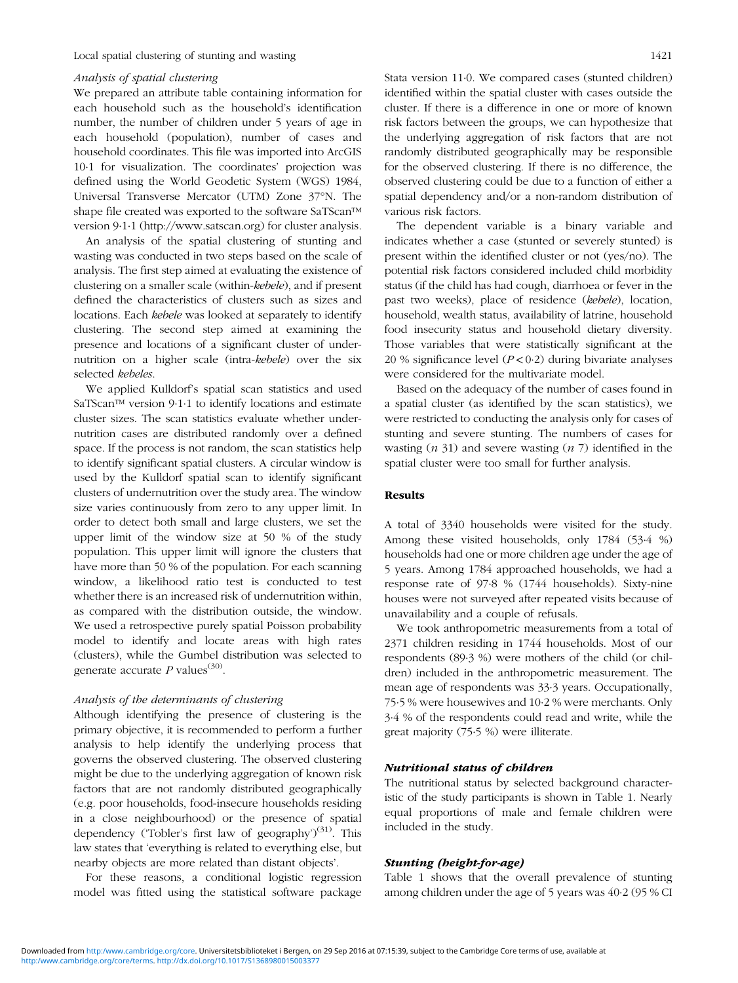## Analysis of spatial clustering

We prepared an attribute table containing information for each household such as the household's identification number, the number of children under 5 years of age in each household (population), number of cases and household coordinates. This file was imported into ArcGIS 10·1 for visualization. The coordinates' projection was defined using the World Geodetic System (WGS) 1984, Universal Transverse Mercator (UTM) Zone 37°N. The shape file created was exported to the software SaTScan™ version 9·1·1 (http://www.satscan.org) for cluster analysis.

An analysis of the spatial clustering of stunting and wasting was conducted in two steps based on the scale of analysis. The first step aimed at evaluating the existence of clustering on a smaller scale (within-kebele), and if present defined the characteristics of clusters such as sizes and locations. Each kebele was looked at separately to identify clustering. The second step aimed at examining the presence and locations of a significant cluster of undernutrition on a higher scale (intra-kebele) over the six selected kebeles.

We applied Kulldorf's spatial scan statistics and used SaTScan™ version 9·1·1 to identify locations and estimate cluster sizes. The scan statistics evaluate whether undernutrition cases are distributed randomly over a defined space. If the process is not random, the scan statistics help to identify significant spatial clusters. A circular window is used by the Kulldorf spatial scan to identify significant clusters of undernutrition over the study area. The window size varies continuously from zero to any upper limit. In order to detect both small and large clusters, we set the upper limit of the window size at 50 % of the study population. This upper limit will ignore the clusters that have more than 50 % of the population. For each scanning window, a likelihood ratio test is conducted to test whether there is an increased risk of undernutrition within, as compared with the distribution outside, the window. We used a retrospective purely spatial Poisson probability model to identify and locate areas with high rates (clusters), while the Gumbel distribution was selected to generate accurate P values<sup>[\(30](#page-10-0))</sup>.

## Analysis of the determinants of clustering

Although identifying the presence of clustering is the primary objective, it is recommended to perform a further analysis to help identify the underlying process that governs the observed clustering. The observed clustering might be due to the underlying aggregation of known risk factors that are not randomly distributed geographically (e.g. poor households, food-insecure households residing in a close neighbourhood) or the presence of spatial dependency ('Tobler's first law of geography')<sup>[\(31](#page-10-0))</sup>. This law states that 'everything is related to everything else, but nearby objects are more related than distant objects'.

For these reasons, a conditional logistic regression model was fitted using the statistical software package Stata version 11·0. We compared cases (stunted children) identified within the spatial cluster with cases outside the cluster. If there is a difference in one or more of known risk factors between the groups, we can hypothesize that the underlying aggregation of risk factors that are not randomly distributed geographically may be responsible for the observed clustering. If there is no difference, the observed clustering could be due to a function of either a spatial dependency and/or a non-random distribution of various risk factors.

The dependent variable is a binary variable and indicates whether a case (stunted or severely stunted) is present within the identified cluster or not (yes/no). The potential risk factors considered included child morbidity status (if the child has had cough, diarrhoea or fever in the past two weeks), place of residence (kebele), location, household, wealth status, availability of latrine, household food insecurity status and household dietary diversity. Those variables that were statistically significant at the 20 % significance level  $(P < 0.2)$  during bivariate analyses were considered for the multivariate model.

Based on the adequacy of the number of cases found in a spatial cluster (as identified by the scan statistics), we were restricted to conducting the analysis only for cases of stunting and severe stunting. The numbers of cases for wasting  $(n 31)$  and severe wasting  $(n 7)$  identified in the spatial cluster were too small for further analysis.

# Results

A total of 3340 households were visited for the study. Among these visited households, only 1784 (53·4 %) households had one or more children age under the age of 5 years. Among 1784 approached households, we had a response rate of 97·8 % (1744 households). Sixty-nine houses were not surveyed after repeated visits because of unavailability and a couple of refusals.

We took anthropometric measurements from a total of 2371 children residing in 1744 households. Most of our respondents (89·3 %) were mothers of the child (or children) included in the anthropometric measurement. The mean age of respondents was 33·3 years. Occupationally, 75·5 % were housewives and 10·2 % were merchants. Only 3·4 % of the respondents could read and write, while the great majority (75·5 %) were illiterate.

## Nutritional status of children

The nutritional status by selected background characteristic of the study participants is shown in [Table 1](#page-5-0). Nearly equal proportions of male and female children were included in the study.

#### Stunting (height-for-age)

[Table 1](#page-5-0) shows that the overall prevalence of stunting among children under the age of 5 years was 40·2 (95 % CI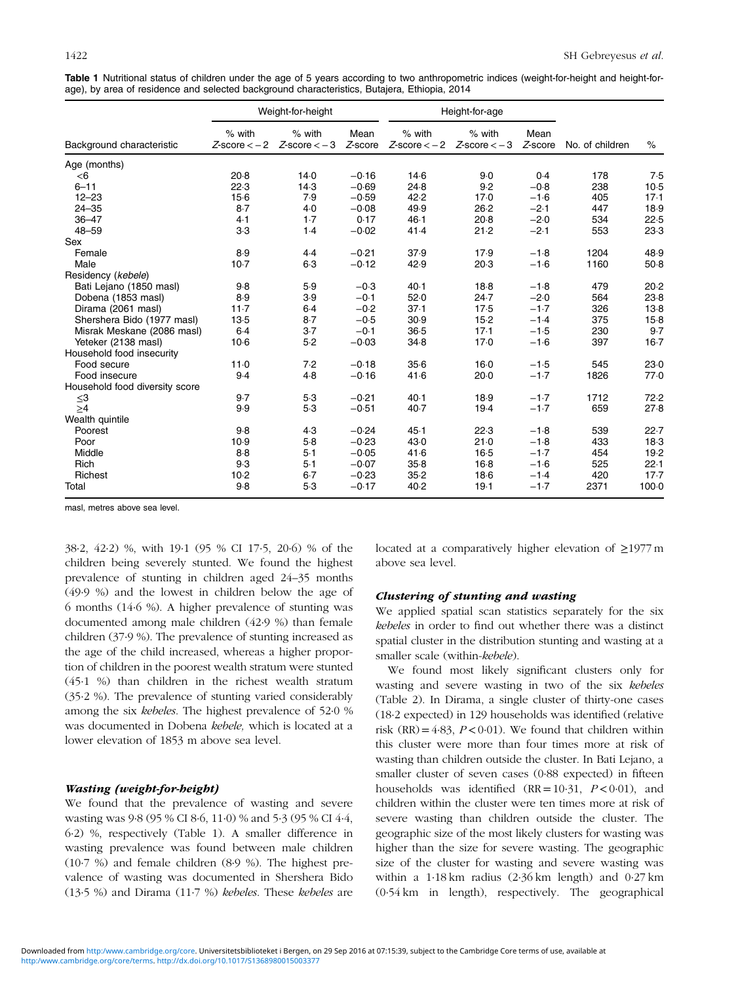<span id="page-5-0"></span>Table 1 Nutritional status of children under the age of 5 years according to two anthropometric indices (weight-for-height and height-forage), by area of residence and selected background characteristics, Butajera, Ethiopia, 2014

|                                |                              | Weight-for-height            |                 |                            | Height-for-age             |                 |                 |           |
|--------------------------------|------------------------------|------------------------------|-----------------|----------------------------|----------------------------|-----------------|-----------------|-----------|
| Background characteristic      | $%$ with<br>$Z$ -score $<-2$ | $%$ with<br>$Z$ -score $<-3$ | Mean<br>Z-score | % with<br>$Z$ -score $<-2$ | % with<br>$Z$ -score $<-3$ | Mean<br>Z-score | No. of children | $\%$      |
| Age (months)                   |                              |                              |                 |                            |                            |                 |                 |           |
| < 6                            | 20.8                         | 14.0                         | $-0.16$         | 14.6                       | 9.0                        | 0.4             | 178             | 7.5       |
| $6 - 11$                       | 22.3                         | 14.3                         | $-0.69$         | 24.8                       | 9.2                        | $-0.8$          | 238             | $10-5$    |
| $12 - 23$                      | $15-6$                       | 7.9                          | $-0.59$         | 42.2                       | 17.0                       | $-1.6$          | 405             | 17.1      |
| $24 - 35$                      | 8.7                          | 4.0                          | $-0.08$         | 49.9                       | 26.2                       | $-2.1$          | 447             | 18.9      |
| $36 - 47$                      | 4.1                          | $1-7$                        | 0.17            | 46.1                       | 20.8                       | $-2.0$          | 534             | 22.5      |
| $48 - 59$                      | $3-3$                        | 1.4                          | $-0.02$         | 41.4                       | 21.2                       | $-2.1$          | 553             | 23.3      |
| Sex                            |                              |                              |                 |                            |                            |                 |                 |           |
| Female                         | 8.9                          | 4.4                          | $-0.21$         | 37.9                       | 17.9                       | $-1.8$          | 1204            | 48.9      |
| Male                           | $10-7$                       | 6.3                          | $-0.12$         | 42.9                       | 20.3                       | $-1.6$          | 1160            | 50.8      |
| Residency (kebele)             |                              |                              |                 |                            |                            |                 |                 |           |
| Bati Lejano (1850 masl)        | 9.8                          | 5.9                          | $-0.3$          | 40.1                       | 18.8                       | $-1.8$          | 479             | 20.2      |
| Dobena (1853 masl)             | 8.9                          | 3.9                          | $-0.1$          | 52.0                       | 24.7                       | $-2.0$          | 564             | 23.8      |
| Dirama (2061 masl)             | $11-7$                       | 6.4                          | $-0.2$          | 37.1                       | 17.5                       | $-1.7$          | 326             | $13-8$    |
| Shershera Bido (1977 masl)     | 13.5                         | 8.7                          | $-0.5$          | 30.9                       | 15.2                       | $-1.4$          | 375             | $15-8$    |
| Misrak Meskane (2086 masl)     | 6.4                          | $3-7$                        | $-0.1$          | 36.5                       | 17.1                       | $-1.5$          | 230             | 9.7       |
| Yeteker (2138 masl)            | $10-6$                       | 5.2                          | $-0.03$         | 34.8                       | 17.0                       | $-1.6$          | 397             | $16 - 7$  |
| Household food insecurity      |                              |                              |                 |                            |                            |                 |                 |           |
| Food secure                    | 11.0                         | 7.2                          | $-0.18$         | 35.6                       | $16-0$                     | $-1.5$          | 545             | 23.0      |
| Food insecure                  | 9.4                          | 4.8                          | $-0.16$         | 41.6                       | 20.0                       | $-1.7$          | 1826            | 77.0      |
| Household food diversity score |                              |                              |                 |                            |                            |                 |                 |           |
| $\leq$ 3                       | 9.7                          | 5.3                          | $-0.21$         | 40.1                       | 18.9                       | $-1.7$          | 1712            | 72.2      |
| $\geq 4$                       | 9.9                          | 5.3                          | $-0.51$         | 40.7                       | 19.4                       | $-1.7$          | 659             | 27.8      |
| Wealth quintile                |                              |                              |                 |                            |                            |                 |                 |           |
| Poorest                        | 9.8                          | 4.3                          | $-0.24$         | 45.1                       | 22.3                       | $-1.8$          | 539             | 22.7      |
| Poor                           | 10.9                         | 5.8                          | $-0.23$         | 43.0                       | 21.0                       | $-1.8$          | 433             | 18.3      |
| Middle                         | 8.8                          | $5-1$                        | $-0.05$         | 41.6                       | $16-5$                     | $-1.7$          | 454             | 19.2      |
| Rich                           | 9.3                          | $5-1$                        | $-0.07$         | 35.8                       | $16-8$                     | $-1.6$          | 525             | 22.1      |
| Richest                        | 10.2                         | $6-7$                        | $-0.23$         | 35.2                       | $18-6$                     | $-1.4$          | 420             | 17.7      |
| Total                          | 9.8                          | 5.3                          | $-0.17$         | 40.2                       | 19.1                       | $-1.7$          | 2371            | $100 - 0$ |

masl, metres above sea level.

38·2, 42·2) %, with 19·1 (95 % CI 17·5, 20·6) % of the children being severely stunted. We found the highest prevalence of stunting in children aged 24–35 months (49·9 %) and the lowest in children below the age of 6 months (14·6 %). A higher prevalence of stunting was documented among male children (42·9 %) than female children (37·9 %). The prevalence of stunting increased as the age of the child increased, whereas a higher proportion of children in the poorest wealth stratum were stunted (45·1 %) than children in the richest wealth stratum (35·2 %). The prevalence of stunting varied considerably among the six kebeles. The highest prevalence of 52·0 % was documented in Dobena kebele, which is located at a lower elevation of 1853 m above sea level.

## Wasting (weight-for-height)

We found that the prevalence of wasting and severe wasting was 9·8 (95 % CI 8·6, 11·0) % and 5·3 (95 % CI 4·4, 6·2) %, respectively (Table 1). A smaller difference in wasting prevalence was found between male children (10·7 %) and female children (8·9 %). The highest prevalence of wasting was documented in Shershera Bido (13·5 %) and Dirama (11·7 %) kebeles. These kebeles are located at a comparatively higher elevation of ≥1977 m above sea level.

#### Clustering of stunting and wasting

We applied spatial scan statistics separately for the six kebeles in order to find out whether there was a distinct spatial cluster in the distribution stunting and wasting at a smaller scale (within-kebele).

We found most likely significant clusters only for wasting and severe wasting in two of the six kebeles ([Table 2\)](#page-6-0). In Dirama, a single cluster of thirty-one cases (18·2 expected) in 129 households was identified (relative risk (RR)=4·83,  $P < 0.01$ ). We found that children within this cluster were more than four times more at risk of wasting than children outside the cluster. In Bati Lejano, a smaller cluster of seven cases (0·88 expected) in fifteen households was identified  $(RR=10.31, P<0.01)$ , and children within the cluster were ten times more at risk of severe wasting than children outside the cluster. The geographic size of the most likely clusters for wasting was higher than the size for severe wasting. The geographic size of the cluster for wasting and severe wasting was within a 1·18 km radius (2·36 km length) and 0·27 km (0·54 km in length), respectively. The geographical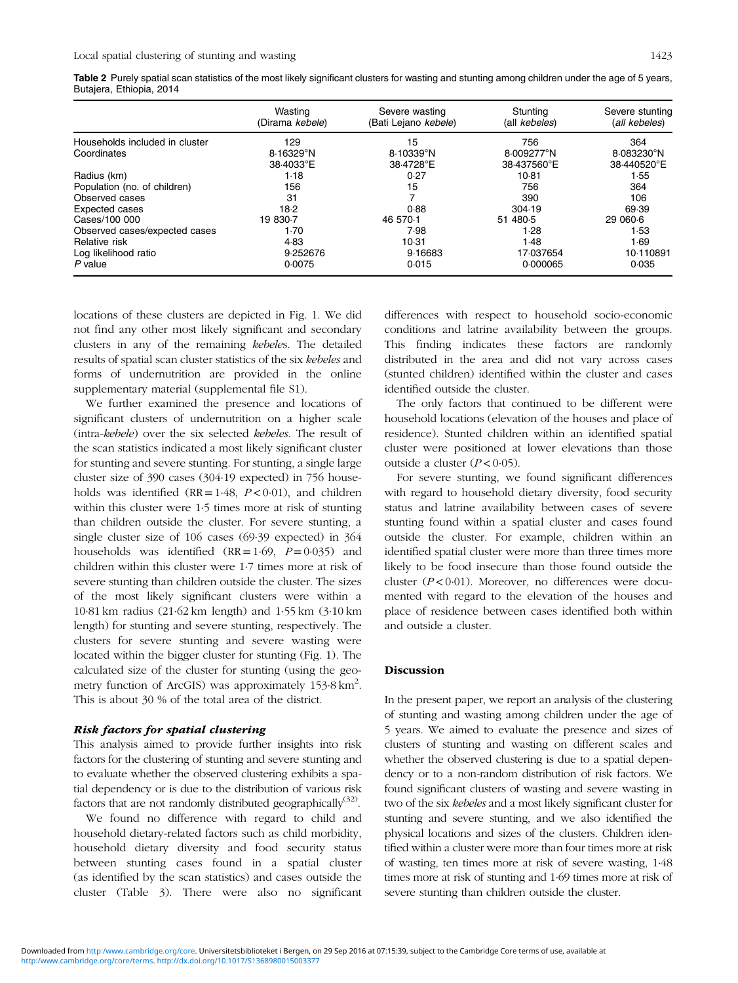|                                | Wasting<br>(Dirama <i>kebele</i> ) | Severe wasting<br>(Bati Lejano <i>kebele</i> ) | Stunting<br>(all kebeles) | Severe stunting<br>(all kebeles) |
|--------------------------------|------------------------------------|------------------------------------------------|---------------------------|----------------------------------|
| Households included in cluster | 129                                | 15                                             | 756                       | 364                              |
| Coordinates                    | $8.16329^{\circ}N$                 | 8.10339°N                                      | 8.009277°N                | 8.083230°N                       |
|                                | 38-4033°E                          | 38.4728°E                                      | 38-437560°E               | 38-440520°E                      |
| Radius (km)                    | 1.18                               | 0.27                                           | 10.81                     | 1.55                             |
| Population (no. of children)   | 156                                | 15                                             | 756                       | 364                              |
| Observed cases                 | 31                                 |                                                | 390                       | 106                              |
| Expected cases                 | 18.2                               | 0.88                                           | 304.19                    | 69.39                            |
| Cases/100 000                  | 19 830.7                           | 46 570 1                                       | 51 480.5                  | 29 060.6                         |
| Observed cases/expected cases  | $1-70$                             | 7.98                                           | 1.28                      | 1.53                             |
| Relative risk                  | 4.83                               | 10.31                                          | 1.48                      | 1.69                             |
| Log likelihood ratio           | 9.252676                           | 9.16683                                        | 17.037654                 | 10-110891                        |
| P value                        | 0.0075                             | 0.015                                          | 0.000065                  | 0.035                            |

<span id="page-6-0"></span>Table 2 Purely spatial scan statistics of the most likely significant clusters for wasting and stunting among children under the age of 5 years, Butajera, Ethiopia, 2014

locations of these clusters are depicted in [Fig. 1](#page-2-0). We did not find any other most likely significant and secondary clusters in any of the remaining kebeles. The detailed results of spatial scan cluster statistics of the six kebeles and forms of undernutrition are provided in the online supplementary material (supplemental file S1).

We further examined the presence and locations of significant clusters of undernutrition on a higher scale (intra-kebele) over the six selected kebeles. The result of the scan statistics indicated a most likely significant cluster for stunting and severe stunting. For stunting, a single large cluster size of 390 cases (304·19 expected) in 756 households was identified (RR=1.48,  $P < 0.01$ ), and children within this cluster were 1·5 times more at risk of stunting than children outside the cluster. For severe stunting, a single cluster size of 106 cases (69·39 expected) in 364 households was identified  $(RR=1.69, P=0.035)$  and children within this cluster were 1·7 times more at risk of severe stunting than children outside the cluster. The sizes of the most likely significant clusters were within a 10·81 km radius (21·62 km length) and 1·55 km (3·10 km length) for stunting and severe stunting, respectively. The clusters for severe stunting and severe wasting were located within the bigger cluster for stunting [\(Fig. 1\)](#page-2-0). The calculated size of the cluster for stunting (using the geometry function of ArcGIS) was approximately  $153.8 \text{ km}^2$ . This is about 30 % of the total area of the district.

## Risk factors for spatial clustering

This analysis aimed to provide further insights into risk factors for the clustering of stunting and severe stunting and to evaluate whether the observed clustering exhibits a spatial dependency or is due to the distribution of various risk factors that are not randomly distributed geographically $(32)$  $(32)$ .

We found no difference with regard to child and household dietary-related factors such as child morbidity, household dietary diversity and food security status between stunting cases found in a spatial cluster (as identified by the scan statistics) and cases outside the cluster ([Table 3](#page-7-0)). There were also no significant differences with respect to household socio-economic conditions and latrine availability between the groups. This finding indicates these factors are randomly distributed in the area and did not vary across cases (stunted children) identified within the cluster and cases identified outside the cluster.

The only factors that continued to be different were household locations (elevation of the houses and place of residence). Stunted children within an identified spatial cluster were positioned at lower elevations than those outside a cluster  $(P < 0.05)$ .

For severe stunting, we found significant differences with regard to household dietary diversity, food security status and latrine availability between cases of severe stunting found within a spatial cluster and cases found outside the cluster. For example, children within an identified spatial cluster were more than three times more likely to be food insecure than those found outside the cluster  $(P<0.01)$ . Moreover, no differences were documented with regard to the elevation of the houses and place of residence between cases identified both within and outside a cluster.

## Discussion

In the present paper, we report an analysis of the clustering of stunting and wasting among children under the age of 5 years. We aimed to evaluate the presence and sizes of clusters of stunting and wasting on different scales and whether the observed clustering is due to a spatial dependency or to a non-random distribution of risk factors. We found significant clusters of wasting and severe wasting in two of the six kebeles and a most likely significant cluster for stunting and severe stunting, and we also identified the physical locations and sizes of the clusters. Children identified within a cluster were more than four times more at risk of wasting, ten times more at risk of severe wasting, 1·48 times more at risk of stunting and 1·69 times more at risk of severe stunting than children outside the cluster.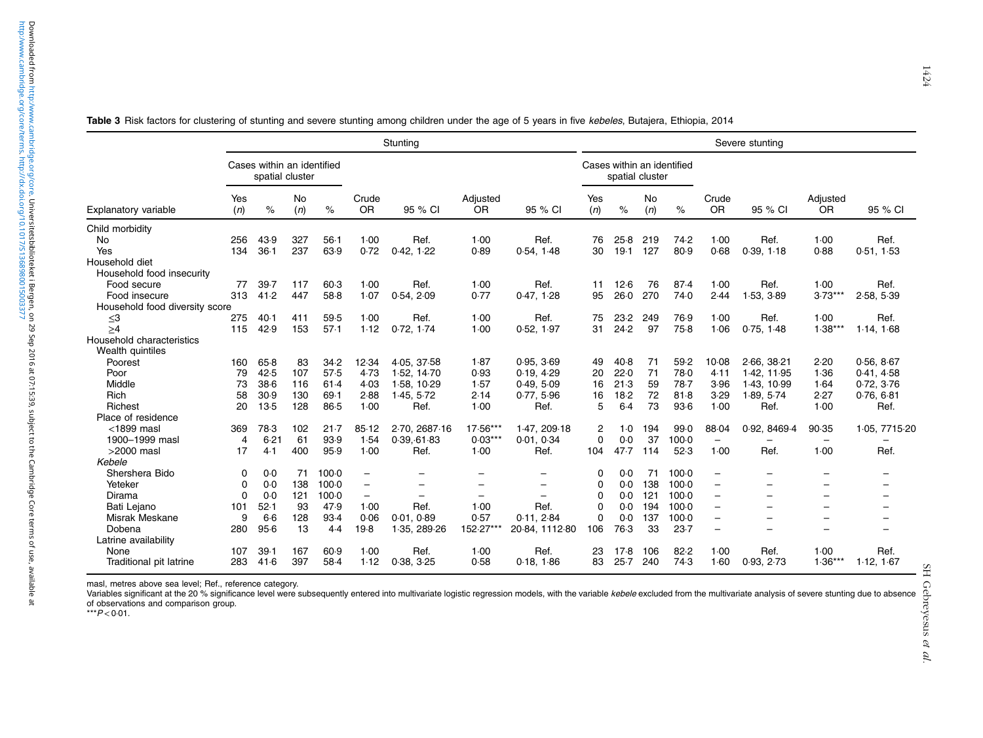<span id="page-7-0"></span>

|  |  |  | Table 3 Risk factors for clustering of stunting and severe stunting among children under the age of 5 years in five kebeles, Butajera, Ethiopia, 2014 |  |
|--|--|--|-------------------------------------------------------------------------------------------------------------------------------------------------------|--|
|--|--|--|-------------------------------------------------------------------------------------------------------------------------------------------------------|--|

|                                |            | Stunting                                      |           |           |                          |                          |                       | Severe stunting          |                                               |      |           |           |                          |                          |                          |                 |
|--------------------------------|------------|-----------------------------------------------|-----------|-----------|--------------------------|--------------------------|-----------------------|--------------------------|-----------------------------------------------|------|-----------|-----------|--------------------------|--------------------------|--------------------------|-----------------|
|                                |            | Cases within an identified<br>spatial cluster |           |           |                          |                          |                       |                          | Cases within an identified<br>spatial cluster |      |           |           |                          |                          |                          |                 |
| Explanatory variable           | Yes<br>(n) | $\%$                                          | No<br>(n) | $\%$      | Crude<br><b>OR</b>       | 95 % CI                  | Adjusted<br><b>OR</b> | 95 % CI                  | Yes<br>(n)                                    | $\%$ | No<br>(n) | $\%$      | Crude<br><b>OR</b>       | 95 % CI                  | Adjusted<br><b>OR</b>    | 95 % CI         |
|                                |            |                                               |           |           |                          |                          |                       |                          |                                               |      |           |           |                          |                          |                          |                 |
| Child morbidity                |            |                                               |           |           |                          |                          |                       |                          |                                               |      |           |           |                          |                          |                          |                 |
| No                             | 256        | 43.9                                          | 327       | $56-1$    | 1.00                     | Ref.                     | 1.00                  | Ref.                     | 76                                            | 25.8 | 219       | 74.2      | 1.00                     | Ref.                     | 1.00                     | Ref.            |
| Yes                            | 134        | $36-1$                                        | 237       | 63.9      | 0.72                     | 0.42.122                 | 0.89                  | 0.54.148                 | 30                                            | 19.1 | 127       | 80.9      | 0.68                     | 0.39.118                 | 0.88                     | 0.51.1.53       |
| Household diet                 |            |                                               |           |           |                          |                          |                       |                          |                                               |      |           |           |                          |                          |                          |                 |
| Household food insecurity      |            |                                               |           |           |                          |                          |                       |                          |                                               |      |           |           |                          |                          |                          |                 |
| Food secure                    | 77         | 39.7                                          | 117       | 60.3      | 1.00                     | Ref.                     | 1.00                  | Ref.                     | 11                                            | 12.6 | 76        | 87.4      | 1.00                     | Ref.                     | 1.00                     | Ref.            |
| Food insecure                  | 313        | 41.2                                          | 447       | 58.8      | 1.07                     | 0.54, 2.09               | 0.77                  | 0.47, 1.28               | 95                                            | 26.0 | 270       | 74.0      | 2.44                     | 1.53, 3.89               | $3.73***$                | 2.58, 5.39      |
| Household food diversity score |            |                                               |           |           |                          |                          |                       |                          |                                               |      |           |           |                          |                          |                          |                 |
| $\leq\!\!3$                    | 275        | 40.1                                          | 411       | 59.5      | 1.00                     | Ref.                     | 1.00                  | Ref.                     | 75                                            | 23.2 | 249       | 76.9      | 1.00                     | Ref.                     | 1.00                     | Ref.            |
| $\geq 4$                       | 115        | 42.9                                          | 153       | 57.1      | 1.12                     | 0.72, 1.74               | 1.00                  | 0.52, 1.97               | 31                                            | 24.2 | 97        | 75.8      | 1.06                     | 0.75, 1.48               | $1.38***$                | 1.14, 1.68      |
| Household characteristics      |            |                                               |           |           |                          |                          |                       |                          |                                               |      |           |           |                          |                          |                          |                 |
| Wealth quintiles               |            |                                               |           |           |                          |                          |                       |                          |                                               |      |           |           |                          |                          |                          |                 |
| Poorest                        | 160        | 65.8                                          | 83        | 34.2      | 12.34                    | 4.05, 37.58              | 1.87                  | 0.95, 3.69               | 49                                            | 40.8 | 71        | 59.2      | 10.08                    | 2.66, 38.21              | 2.20                     | 0.56, 8.67      |
| Poor                           | 79         | 42.5                                          | 107       | 57.5      | 4.73                     | 1.52, 14.70              | 0.93                  | 0.19.429                 | 20                                            | 22.0 | 71        | 78.0      | 4.11                     | 1.42.11.95               | 1.36                     | 0.41.4.58       |
| Middle                         | 73         | 38.6                                          | 116       | 61.4      | 4.03                     | 1.58, 10.29              | 1.57                  | 0.49, 5.09               | 16                                            | 21.3 | 59        | 78.7      | 3.96                     | 1.43. 10.99              | 1.64                     | 0.72, 3.76      |
| Rich                           | 58         | 30.9                                          | 130       | 69.1      | 2.88                     | 1.45, 5.72               | 2.14                  | 0.77, 5.96               | 16                                            | 18.2 | 72        | 81.8      | 3.29                     | 1.89, 5.74               | 2.27                     | 0.76, 6.81      |
| Richest                        | 20         | 13.5                                          | 128       | 86.5      | 1.00                     | Ref.                     | 1.00                  | Ref.                     | 5                                             | 6.4  | 73        | 93.6      | 1.00                     | Ref.                     | 1.00                     | Ref.            |
| Place of residence             |            |                                               |           |           |                          |                          |                       |                          |                                               |      |           |           |                          |                          |                          |                 |
| $<$ 1899 masl                  | 369        | 78.3                                          | 102       | 21.7      | 85.12                    | 2.70.2687.16             | 17.56***              | 1.47, 209.18             | 2                                             | 1.0  | 194       | 99.0      | 88.04                    | 0.92, 8469.4             | 90.35                    | 1.05, 7715.20   |
| 1900-1999 masl                 | 4          | 6.21                                          | 61        | 93.9      | 1.54                     | 0.39.61.83               | $0.03***$             | 0.01, 0.34               | $\Omega$                                      | 0.0  | 37        | $100 - 0$ | $-$                      |                          | $\overline{\phantom{0}}$ |                 |
| $>2000$ masl                   | 17         | 4.1                                           | 400       | 95.9      | 1.00                     | Ref.                     | 1.00                  | Ref.                     | 104                                           | 47.7 | 114       | 52.3      | 1.00                     | Ref.                     | 1.00                     | Ref.            |
| Kebele                         |            |                                               |           |           |                          |                          |                       |                          |                                               |      |           |           |                          |                          |                          |                 |
| Shershera Bido                 | 0          | 0.0                                           | 71        | $100-0$   | -                        | $\overline{\phantom{0}}$ | -                     | $\overline{\phantom{0}}$ | 0                                             | 0.0  | 71        | $100-0$   | $\overline{\phantom{0}}$ | -                        | $\overline{\phantom{0}}$ |                 |
| Yeteker                        | 0          | 0.0                                           | 138       | $100 - 0$ | $\overline{\phantom{0}}$ | -                        | -                     | $\overline{\phantom{0}}$ | $\Omega$                                      | 0.0  | 138       | $100 - 0$ |                          | -                        | $\qquad \qquad -$        |                 |
| Dirama                         | 0          | 0.0                                           | 121       | $100-0$   | $\overline{\phantom{0}}$ | $\overline{\phantom{0}}$ | -                     | $\overline{\phantom{0}}$ | $\Omega$                                      | 0.0  | 121       | $100 - 0$ | $\overline{\phantom{0}}$ | -                        | $\overline{\phantom{0}}$ | Ξ.              |
| Bati Lejano                    | 101        | 52.1                                          | 93        | 47.9      | 1.00                     | Ref.                     | 1.00                  | Ref.                     | 0                                             | 0.0  | 194       | $100 - 0$ |                          | -                        | $\overline{\phantom{0}}$ |                 |
| Misrak Meskane                 | 9          | $6-6$                                         | 128       | 93.4      | 0.06                     | 0.01, 0.89               | 0.57                  | 0.11, 2.84               | 0                                             | 0.0  | 137       | $100 - 0$ | $\overline{\phantom{m}}$ | $\overline{\phantom{0}}$ | $\overline{\phantom{0}}$ | $\qquad \qquad$ |
| Dobena                         | 280        | 95.6                                          | 13        | 4.4       | 19.8                     | 1.35, 289.26             | 152.27***             | 20.84, 1112.80           | 106                                           | 76.3 | 33        | 23.7      | $\overline{\phantom{0}}$ | -                        | $\overline{\phantom{0}}$ | Ξ.              |
| Latrine availability           |            |                                               |           |           |                          |                          |                       |                          |                                               |      |           |           |                          |                          |                          |                 |
| None                           | 107        | 39.1                                          | 167       | 60.9      | 1.00                     | Ref.                     | 1.00                  | Ref.                     | 23                                            | 17.8 | 106       | 82.2      | 1.00                     | Ref.                     | 1.00                     | Ref.            |
| Traditional pit latrine        | 283        | 41.6                                          | 397       | 58.4      | 1.12                     | 0.38, 3.25               | 0.58                  | 0.18, 1.86               | 83                                            | 25.7 | 240       | 74.3      | 1.60                     | 0.93, 2.73               | $1.36***$                | 1.12, 1.67      |
|                                |            |                                               |           |           |                          |                          |                       |                          |                                               |      |           |           |                          |                          |                          |                 |

masl, metres above sea level; Ref., reference category.<br>Variables significant at the 20 % significance level were subsequently entered into multivariate logistic regression models, with the variable *kebele* excluded from of observations and comparison group.

\*\*\* P<0·01.

1424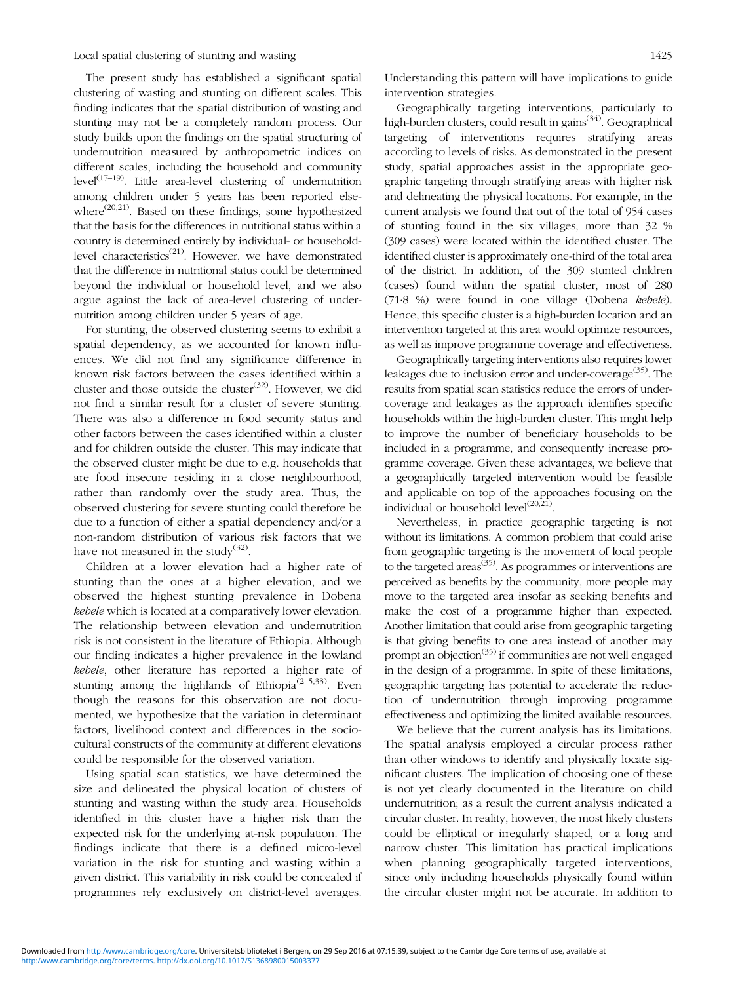Local spatial clustering of stunting and wasting 1425

The present study has established a significant spatial clustering of wasting and stunting on different scales. This finding indicates that the spatial distribution of wasting and stunting may not be a completely random process. Our study builds upon the findings on the spatial structuring of undernutrition measured by anthropometric indices on different scales, including the household and community  $level^{(17-19)}$  $level^{(17-19)}$  $level^{(17-19)}$  $level^{(17-19)}$  $level^{(17-19)}$ . Little area-level clustering of undernutrition among children under 5 years has been reported elsewhere<sup> $(20,21)$  $(20,21)$  $(20,21)$ </sup>. Based on these findings, some hypothesized that the basis for the differences in nutritional status within a country is determined entirely by individual- or household-level characteristics<sup>[\(21](#page-10-0))</sup>. However, we have demonstrated that the difference in nutritional status could be determined beyond the individual or household level, and we also argue against the lack of area-level clustering of undernutrition among children under 5 years of age.

For stunting, the observed clustering seems to exhibit a spatial dependency, as we accounted for known influences. We did not find any significance difference in known risk factors between the cases identified within a cluster and those outside the cluster<sup> $(32)$  $(32)$ </sup>. However, we did not find a similar result for a cluster of severe stunting. There was also a difference in food security status and other factors between the cases identified within a cluster and for children outside the cluster. This may indicate that the observed cluster might be due to e.g. households that are food insecure residing in a close neighbourhood, rather than randomly over the study area. Thus, the observed clustering for severe stunting could therefore be due to a function of either a spatial dependency and/or a non-random distribution of various risk factors that we have not measured in the study<sup>([32\)](#page-10-0)</sup>.

Children at a lower elevation had a higher rate of stunting than the ones at a higher elevation, and we observed the highest stunting prevalence in Dobena kebele which is located at a comparatively lower elevation. The relationship between elevation and undernutrition risk is not consistent in the literature of Ethiopia. Although our finding indicates a higher prevalence in the lowland kebele, other literature has reported a higher rate of stunting among the highlands of Ethiopia<sup>([2](#page-9-0)–[5,](#page-9-0)[33](#page-10-0))</sup>. Even though the reasons for this observation are not documented, we hypothesize that the variation in determinant factors, livelihood context and differences in the sociocultural constructs of the community at different elevations could be responsible for the observed variation.

Using spatial scan statistics, we have determined the size and delineated the physical location of clusters of stunting and wasting within the study area. Households identified in this cluster have a higher risk than the expected risk for the underlying at-risk population. The findings indicate that there is a defined micro-level variation in the risk for stunting and wasting within a given district. This variability in risk could be concealed if programmes rely exclusively on district-level averages. Understanding this pattern will have implications to guide intervention strategies.

Geographically targeting interventions, particularly to high-burden clusters, could result in gains $(34)$  $(34)$ . Geographical targeting of interventions requires stratifying areas according to levels of risks. As demonstrated in the present study, spatial approaches assist in the appropriate geographic targeting through stratifying areas with higher risk and delineating the physical locations. For example, in the current analysis we found that out of the total of 954 cases of stunting found in the six villages, more than 32 % (309 cases) were located within the identified cluster. The identified cluster is approximately one-third of the total area of the district. In addition, of the 309 stunted children (cases) found within the spatial cluster, most of 280 (71·8 %) were found in one village (Dobena kebele). Hence, this specific cluster is a high-burden location and an intervention targeted at this area would optimize resources, as well as improve programme coverage and effectiveness.

Geographically targeting interventions also requires lower leakages due to inclusion error and under-coverage<sup> $(35)$  $(35)$  $(35)$ </sup>. The results from spatial scan statistics reduce the errors of undercoverage and leakages as the approach identifies specific households within the high-burden cluster. This might help to improve the number of beneficiary households to be included in a programme, and consequently increase programme coverage. Given these advantages, we believe that a geographically targeted intervention would be feasible and applicable on top of the approaches focusing on the individual or household  $level^{(20,21)}$  $level^{(20,21)}$  $level^{(20,21)}$  $level^{(20,21)}$ .

Nevertheless, in practice geographic targeting is not without its limitations. A common problem that could arise from geographic targeting is the movement of local people to the targeted areas<sup> $(35)$  $(35)$ </sup>. As programmes or interventions are perceived as benefits by the community, more people may move to the targeted area insofar as seeking benefits and make the cost of a programme higher than expected. Another limitation that could arise from geographic targeting is that giving benefits to one area instead of another may prompt an objection[\(35](#page-10-0)) if communities are not well engaged in the design of a programme. In spite of these limitations, geographic targeting has potential to accelerate the reduction of undernutrition through improving programme effectiveness and optimizing the limited available resources.

We believe that the current analysis has its limitations. The spatial analysis employed a circular process rather than other windows to identify and physically locate significant clusters. The implication of choosing one of these is not yet clearly documented in the literature on child undernutrition; as a result the current analysis indicated a circular cluster. In reality, however, the most likely clusters could be elliptical or irregularly shaped, or a long and narrow cluster. This limitation has practical implications when planning geographically targeted interventions, since only including households physically found within the circular cluster might not be accurate. In addition to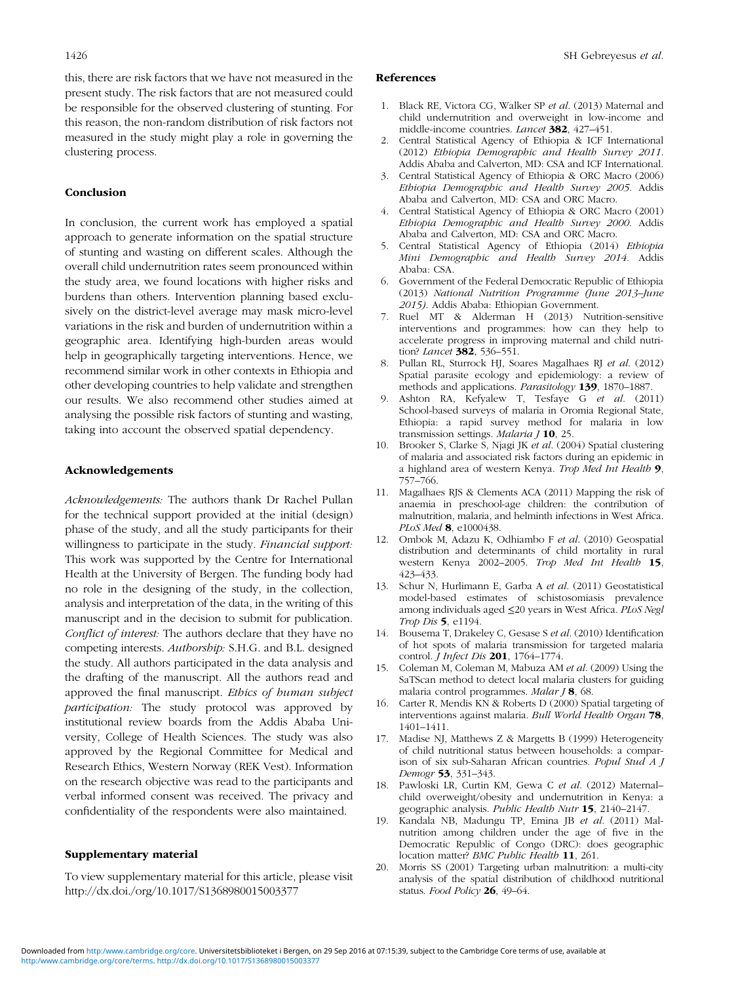# Conclusion

<span id="page-9-0"></span>clustering process.

In conclusion, the current work has employed a spatial approach to generate information on the spatial structure of stunting and wasting on different scales. Although the overall child undernutrition rates seem pronounced within the study area, we found locations with higher risks and burdens than others. Intervention planning based exclusively on the district-level average may mask micro-level variations in the risk and burden of undernutrition within a geographic area. Identifying high-burden areas would help in geographically targeting interventions. Hence, we recommend similar work in other contexts in Ethiopia and other developing countries to help validate and strengthen our results. We also recommend other studies aimed at analysing the possible risk factors of stunting and wasting, taking into account the observed spatial dependency.

## Acknowledgements

Acknowledgements: The authors thank Dr Rachel Pullan for the technical support provided at the initial (design) phase of the study, and all the study participants for their willingness to participate in the study. Financial support: This work was supported by the Centre for International Health at the University of Bergen. The funding body had no role in the designing of the study, in the collection, analysis and interpretation of the data, in the writing of this manuscript and in the decision to submit for publication. Conflict of interest: The authors declare that they have no competing interests. Authorship: S.H.G. and B.L. designed the study. All authors participated in the data analysis and the drafting of the manuscript. All the authors read and approved the final manuscript. Ethics of human subject participation: The study protocol was approved by institutional review boards from the Addis Ababa University, College of Health Sciences. The study was also approved by the Regional Committee for Medical and Research Ethics, Western Norway (REK Vest). Information on the research objective was read to the participants and verbal informed consent was received. The privacy and confidentiality of the respondents were also maintained.

#### Supplementary material

To view supplementary material for this article, please visit <http://dx.doi./org/10.1017/S1368980015003377>

#### References

- 1. Black RE, Victora CG, Walker SP et al. (2013) Maternal and child undernutrition and overweight in low-income and middle-income countries. Lancet 382, 427–451.
- 2. Central Statistical Agency of Ethiopia & ICF International (2012) Ethiopia Demographic and Health Survey 2011. Addis Ababa and Calverton, MD: CSA and ICF International.
- 3. Central Statistical Agency of Ethiopia & ORC Macro (2006) Ethiopia Demographic and Health Survey 2005. Addis Ababa and Calverton, MD: CSA and ORC Macro.
- 4. Central Statistical Agency of Ethiopia & ORC Macro (2001) Ethiopia Demographic and Health Survey 2000. Addis Ababa and Calverton, MD: CSA and ORC Macro.
- 5. Central Statistical Agency of Ethiopia (2014) Ethiopia Mini Demographic and Health Survey 2014. Addis Ababa: CSA.
- 6. Government of the Federal Democratic Republic of Ethiopia (2013) National Nutrition Programme (June 2013–June 2015). Addis Ababa: Ethiopian Government.
- 7. Ruel MT & Alderman H (2013) Nutrition-sensitive interventions and programmes: how can they help to accelerate progress in improving maternal and child nutrition? Lancet 382, 536-551.
- 8. Pullan RL, Sturrock HJ, Soares Magalhaes RJ et al. (2012) Spatial parasite ecology and epidemiology: a review of methods and applications. Parasitology 139, 1870–1887.
- 9. Ashton RA, Kefyalew T, Tesfaye G et al. (2011) School-based surveys of malaria in Oromia Regional State, Ethiopia: a rapid survey method for malaria in low transmission settings. Malaria J 10, 25.
- 10. Brooker S, Clarke S, Njagi JK et al. (2004) Spatial clustering of malaria and associated risk factors during an epidemic in a highland area of western Kenya. Trop Med Int Health 9, 757–766.
- 11. Magalhaes RJS & Clements ACA (2011) Mapping the risk of anaemia in preschool-age children: the contribution of malnutrition, malaria, and helminth infections in West Africa. PLoS Med 8, e1000438.
- 12. Ombok M, Adazu K, Odhiambo F et al. (2010) Geospatial distribution and determinants of child mortality in rural western Kenya 2002–2005. Trop Med Int Health 15, 423–433.
- 13. Schur N, Hurlimann E, Garba A et al. (2011) Geostatistical model-based estimates of schistosomiasis prevalence among individuals aged ≤20 years in West Africa. PLoS Negl Trop Dis 5, e1194.
- 14. Bousema T, Drakeley C, Gesase S et al. (2010) Identification of hot spots of malaria transmission for targeted malaria control. *J Infect Dis* **201**, 1764–1774.
- 15. Coleman M, Coleman M, Mabuza AM et al. (2009) Using the SaTScan method to detect local malaria clusters for guiding malaria control programmes. Malar J 8, 68.
- 16. Carter R, Mendis KN & Roberts D (2000) Spatial targeting of interventions against malaria. Bull World Health Organ 78, 1401–1411.
- 17. Madise NJ, Matthews Z & Margetts B (1999) Heterogeneity of child nutritional status between households: a comparison of six sub-Saharan African countries. Popul Stud A J Demogr 53, 331–343.
- 18. Pawloski LR, Curtin KM, Gewa C et al. (2012) Maternal– child overweight/obesity and undernutrition in Kenya: a geographic analysis. Public Health Nutr 15, 2140–2147.
- 19. Kandala NB, Madungu TP, Emina JB et al. (2011) Malnutrition among children under the age of five in the Democratic Republic of Congo (DRC): does geographic location matter? BMC Public Health 11, 261.
- 20. Morris SS (2001) Targeting urban malnutrition: a multi-city analysis of the spatial distribution of childhood nutritional status. Food Policy 26, 49–64.